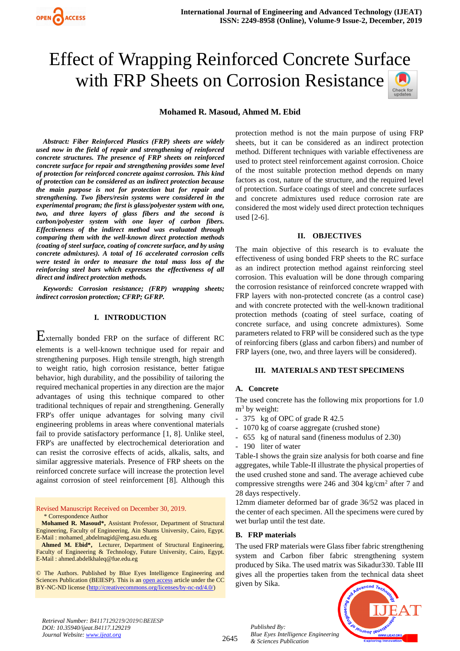# Effect of Wrapping Reinforced Concrete Surface with FRP Sheets on Corrosion Resistance

**Mohamed R. Masoud, Ahmed M. Ebid**

*Abstract: Fiber Reinforced Plastics (FRP) sheets are widely used now in the field of repair and strengthening of reinforced concrete structures. The presence of FRP sheets on reinforced concrete surface for repair and strengthening provides some level of protection for reinforced concrete against corrosion. This kind of protection can be considered as an indirect protection because the main purpose is not for protection but for repair and strengthening. Two fibers/resin systems were considered in the experimental program; the first is glass/polyester system with one, two, and three layers of glass fibers and the second is carbon/polyester system with one layer of carbon fibers. Effectiveness of the indirect method was evaluated through comparing them with the well-known direct protection methods (coating of steel surface, coating of concrete surface, and by using concrete admixtures). A total of 16 accelerated corrosion cells were tested in order to measure the total mass loss of the reinforcing steel bars which expresses the effectiveness of all direct and indirect protection methods.*

*Keywords: Corrosion resistance; (FRP) wrapping sheets; indirect corrosion protection; CFRP; GFRP.* 

# **I. INTRODUCTION**

Externally bonded FRP on the surface of different RC elements is a well-known technique used for repair and strengthening purposes. High tensile strength, high strength to weight ratio, high corrosion resistance, better fatigue behavior, high durability, and the possibility of tailoring the required mechanical properties in any direction are the major advantages of using this technique compared to other traditional techniques of repair and strengthening. Generally FRP's offer unique advantages for solving many civil engineering problems in areas where conventional materials fail to provide satisfactory performance [1, 8]. Unlike steel, FRP's are unaffected by electrochemical deterioration and can resist the corrosive effects of acids, alkalis, salts, and similar aggressive materials. Presence of FRP sheets on the reinforced concrete surface will increase the protection level against corrosion of steel reinforcement [8]. Although this

Revised Manuscript Received on December 30, 2019. \* Correspondence Author

**Mohamed R. Masoud\*,** Assistant Professor, Department of Structural Engineering, Faculty of Engineering, Ain Shams University, Cairo, Egypt. E-Mail : mohamed\_abdelmagid@eng.asu.edu.eg

**Ahmed M. Ebid\*,** Lecturer, Department of Structural Engineering, Faculty of Engineering & Technology, Future University, Cairo, Egypt. E-Mail : ahmed.abdelkhaleq@fue.edu.eg

© The Authors. Published by Blue Eyes Intelligence Engineering and Sciences Publication (BEIESP). This is a[n open access](https://www.openaccess.nl/en/open-publications) article under the CC BY-NC-ND license [\(http://creativecommons.org/licenses/by-nc-nd/4.0/\)](http://creativecommons.org/licenses/by-nc-nd/4.0/)

protection method is not the main purpose of using FRP sheets, but it can be considered as an indirect protection method. Different techniques with variable effectiveness are used to protect steel reinforcement against corrosion. Choice of the most suitable protection method depends on many factors as cost, nature of the structure, and the required level of protection. Surface coatings of steel and concrete surfaces and concrete admixtures used reduce corrosion rate are considered the most widely used direct protection techniques used [2-6].

#### **II. OBJECTIVES**

The main objective of this research is to evaluate the effectiveness of using bonded FRP sheets to the RC surface as an indirect protection method against reinforcing steel corrosion. This evaluation will be done through comparing the corrosion resistance of reinforced concrete wrapped with FRP layers with non-protected concrete (as a control case) and with concrete protected with the well-known traditional protection methods (coating of steel surface, coating of concrete surface, and using concrete admixtures). Some parameters related to FRP will be considered such as the type of reinforcing fibers (glass and carbon fibers) and number of FRP layers (one, two, and three layers will be considered).

## **III. MATERIALS AND TEST SPECIMENS**

## **A. Concrete**

The used concrete has the following mix proportions for 1.0  $m<sup>3</sup>$  by weight:

- 375 kg of OPC of grade R 42.5
- 1070 kg of coarse aggregate (crushed stone)
- 655 kg of natural sand (fineness modulus of 2.30)
- 190 liter of water

Table-I shows the grain size analysis for both coarse and fine aggregates, while Table-II illustrate the physical properties of the used crushed stone and sand. The average achieved cube compressive strengths were 246 and 304 kg/cm<sup>2</sup> after 7 and 28 days respectively.

12mm diameter deformed bar of grade 36/52 was placed in the center of each specimen. All the specimens were cured by wet burlap until the test date.

## **B. FRP materials**

The used FRP materials were Glass fiber fabric strengthening system and Carbon fiber fabric strengthening system produced by Sika. The used matrix was Sikadur330. Table III gives all the properties taken from the technical data sheet given by Sika.



*Retrieval Number: B4117129219/2019©BEIESP DOI: 10.35940/ijeat.B4117.129219 Journal Website[: www.ijeat.org](http://www.ijeat.org/)*

2645

*Published By: Blue Eyes Intelligence Engineering & Sciences Publication*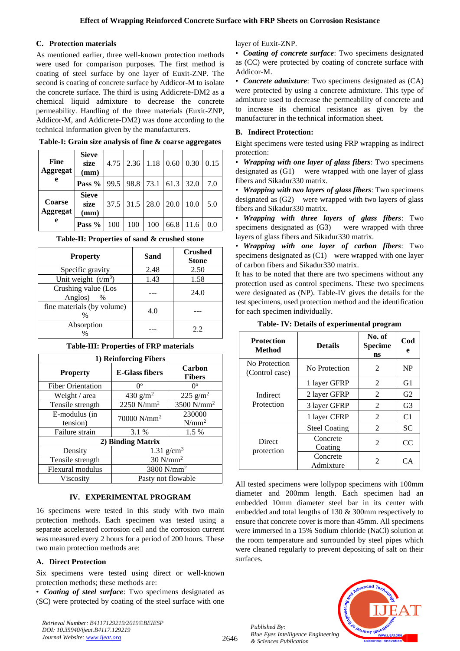# **C. Protection materials**

As mentioned earlier, three well-known protection methods were used for comparison purposes. The first method is coating of steel surface by one layer of Euxit-ZNP. The second is coating of concrete surface by Addicor-M to isolate the concrete surface. The third is using Addicrete-DM2 as a chemical liquid admixture to decrease the concrete permeability. Handling of the three materials (Euxit-ZNP, Addicor-M, and Addicrete-DM2) was done according to the technical information given by the manufacturers.

| <b>Fine</b><br>Aggregat<br>e | <b>Sieve</b><br>size<br>(mm) | 4.75                  | 2.36        | 1.18 | 0.60 | 0.30 | 0.15 |
|------------------------------|------------------------------|-----------------------|-------------|------|------|------|------|
|                              | Pass %                       | $99.5$ 98.8 73.1 61.3 |             |      |      | 32.0 | 7.0  |
| Coarse<br>Aggregat<br>e      | <b>Sieve</b><br>size<br>(mm) | 37.5                  | $31.5$ 28.0 |      | 20.0 | 10.0 | 5.0  |
|                              | Pass %                       | 100                   | 100         | 100  | 66.8 | 11.6 | 0.0  |

**Table-I: Grain size analysis of fine & coarse aggregates**

| <b>Property</b>                             | Sand | <b>Crushed</b><br><b>Stone</b> |
|---------------------------------------------|------|--------------------------------|
| Specific gravity                            | 2.48 | 2.50                           |
| Unit weight $(t/m^3)$                       | 1.43 | 1.58                           |
| Crushing value (Los<br>Anglos)<br>$\%$      |      | 24.0                           |
| fine materials (by volume)<br>$\frac{0}{0}$ | 4.0  |                                |
| Absorption<br>%                             |      | 2.2                            |

**Table-II: Properties of sand & crushed stone**

| 1) Reinforcing Fibers     |                         |                         |  |  |  |
|---------------------------|-------------------------|-------------------------|--|--|--|
| <b>Property</b>           | <b>E-Glass fibers</b>   | Carbon<br><b>Fibers</b> |  |  |  |
| <b>Fiber Orientation</b>  | $0^{\rm o}$             | $0^{\rm o}$             |  |  |  |
| Weight / area             | 430 $g/m^2$             | $225$ g/m <sup>2</sup>  |  |  |  |
| Tensile strength          | 2250 $N/mm^2$           | 3500 $N/mm2$            |  |  |  |
| E-modulus (in<br>tension) | 70000 N/mm <sup>2</sup> | 230000<br>$N/mm^2$      |  |  |  |
| Failure strain            | 3.1 %                   | 1.5 %                   |  |  |  |
| 2) Binding Matrix         |                         |                         |  |  |  |
| Density                   | 1.31 $g/cm3$            |                         |  |  |  |
| Tensile strength          | $30$ N/mm <sup>2</sup>  |                         |  |  |  |
| Flexural modulus          | 3800 N/mm <sup>2</sup>  |                         |  |  |  |
| Viscosity                 | Pasty not flowable      |                         |  |  |  |

# **Table-III: Properties of FRP materials**

# **IV. EXPERIMENTAL PROGRAM**

16 specimens were tested in this study with two main protection methods. Each specimen was tested using a separate accelerated corrosion cell and the corrosion current was measured every 2 hours for a period of 200 hours. These two main protection methods are:

## **A. Direct Protection**

Six specimens were tested using direct or well-known protection methods; these methods are:

• *Coating of steel surface*: Two specimens designated as (SC) were protected by coating of the steel surface with one

## layer of Euxit-ZNP.

• *Coating of concrete surface*: Two specimens designated as (CC) were protected by coating of concrete surface with Addicor-M.

• *Concrete admixture*: Two specimens designated as (CA) were protected by using a concrete admixture. This type of admixture used to decrease the permeability of concrete and to increase its chemical resistance as given by the manufacturer in the technical information sheet.

# **B. Indirect Protection:**

Eight specimens were tested using FRP wrapping as indirect protection:

• *Wrapping with one layer of glass fibers*: Two specimens designated as (G1) were wrapped with one layer of glass fibers and Sikadur330 matrix.

• *Wrapping with two layers of glass fibers*: Two specimens designated as (G2) were wrapped with two layers of glass fibers and Sikadur330 matrix.

• *Wrapping with three layers of glass fibers*: Two specimens designated as  $(G3)$  were wrapped with three layers of glass fibers and Sikadur330 matrix.

• *Wrapping with one layer of carbon fibers*: Two specimens designated as (C1) were wrapped with one layer of carbon fibers and Sikadur330 matrix.

It has to be noted that there are two specimens without any protection used as control specimens. These two specimens were designated as (NP). Table-IV gives the details for the test specimens, used protection method and the identification for each specimen individually.

| <b>Protection</b><br><b>Method</b> | <b>Details</b>        | No. of<br><b>Specime</b><br>ns | Cod<br>e       |
|------------------------------------|-----------------------|--------------------------------|----------------|
| No Protection<br>(Control case)    | No Protection         | $\mathfrak{D}$                 | <b>NP</b>      |
|                                    | 1 layer GFRP          | 2                              | G <sub>1</sub> |
| Indirect                           | 2 layer GFRP          | 2                              | G <sub>2</sub> |
| Protection                         | 3 layer GFRP          | 2                              | G <sub>3</sub> |
|                                    | 1 layer CFRP          | $\overline{2}$                 | C <sub>1</sub> |
|                                    | <b>Steel Coating</b>  | $\mathfrak{D}$                 | <b>SC</b>      |
| <b>Direct</b><br>protection        | Concrete<br>Coating   | $\mathfrak{D}$                 | CC             |
|                                    | Concrete<br>Admixture | $\mathfrak{D}$                 | CА             |

**Table- IV: Details of experimental program**

All tested specimens were lollypop specimens with 100mm diameter and 200mm length. Each specimen had an embedded 10mm diameter steel bar in its center with embedded and total lengths of 130 & 300mm respectively to ensure that concrete cover is more than 45mm. All specimens were immersed in a 15% Sodium chloride (NaCl) solution at the room temperature and surrounded by steel pipes which were cleaned regularly to prevent depositing of salt on their surfaces.



*Published By: Blue Eyes Intelligence Engineering & Sciences Publication* 

2646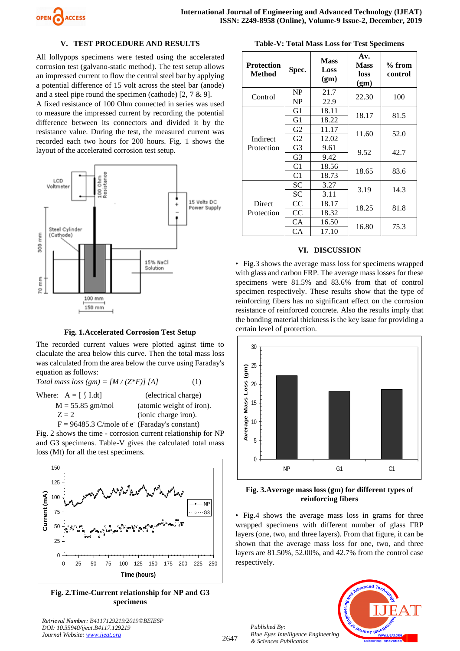

#### **V. TEST PROCEDURE AND RESULTS**

All lollypops specimens were tested using the accelerated corrosion test (galvano-static method). The test setup allows an impressed current to flow the central steel bar by applying a potential difference of 15 volt across the steel bar (anode) and a steel pipe round the specimen (cathode) [2, 7 & 9].

A fixed resistance of 100 Ohm connected in series was used to measure the impressed current by recording the potential difference between its connectors and divided it by the resistance value. During the test, the measured current was recorded each two hours for 200 hours. Fig. 1 shows the layout of the accelerated corrosion test setup.



**Fig. 1.Accelerated Corrosion Test Setup**

The recorded current values were plotted aginst time to claculate the area below this curve. Then the total mass loss was calculated from the area below the curve using Faraday's equation as follows:

| Total mass loss $(gm) = [M/(Z^*F)] [A]$    |                          | (1) |
|--------------------------------------------|--------------------------|-----|
| Where: $A = \lceil \int I \cdot dt \rceil$ | (electrical charge)      |     |
| $M = 55.85$ gm/mol                         | (atomic weight of iron). |     |
| $Z = 2$                                    | (ionic charge iron).     |     |

 $F = 96485.3$  C/mole of e<sup>-</sup> (Faraday's constant)

Fig. 2 shows the time - corrosion current relationship for NP and G3 specimens. Table-V gives the calculated total mass loss (Mt) for all the test specimens.



**Fig. 2.Time-Current relationship for NP and G3 specimens**

*Retrieval Number: B4117129219/2019©BEIESP DOI: 10.35940/ijeat.B4117.129219 Journal Website[: www.ijeat.org](http://www.ijeat.org/)*

**Table-V: Total Mass Loss for Test Specimens**

| <b>Protection</b><br>Method | Spec.          | <b>Mass</b><br>Loss<br>(gm) | Av.<br><b>Mass</b><br>loss<br>(gm) | $%$ from<br>control |  |
|-----------------------------|----------------|-----------------------------|------------------------------------|---------------------|--|
| Control                     | NP             | 21.7                        |                                    |                     |  |
|                             | NP             | 22.9                        | 22.30                              | 100                 |  |
|                             | G1             | 18.11                       |                                    |                     |  |
|                             | G1             | 18.22                       | 18.17                              | 81.5                |  |
|                             | G2             | 11.17                       |                                    | 52.0                |  |
| Indirect<br>Protection      | G <sub>2</sub> | 12.02                       | 11.60                              |                     |  |
|                             | G <sub>3</sub> | 9.61                        |                                    | 42.7                |  |
|                             | G <sub>3</sub> | 9.42                        | 9.52                               |                     |  |
|                             | C <sub>1</sub> | 18.56                       |                                    | 83.6                |  |
|                             | C1             | 18.73                       | 18.65                              |                     |  |
| Direct<br>Protection        | SС             | 3.27                        | 3.19                               |                     |  |
|                             | <b>SC</b>      | 3.11                        |                                    | 14.3                |  |
|                             | <b>CC</b>      | 18.17                       | 18.25                              |                     |  |
|                             | <b>CC</b>      | 18.32                       |                                    | 81.8                |  |
|                             | СA             | 16.50                       | 16.80                              | 75.3                |  |
|                             | <b>CA</b>      | 17.10                       |                                    |                     |  |

#### **VI. DISCUSSION**

• Fig.3 shows the average mass loss for specimens wrapped with glass and carbon FRP. The average mass losses for these specimens were 81.5% and 83.6% from that of control specimen respectively. These results show that the type of reinforcing fibers has no significant effect on the corrosion resistance of reinforced concrete. Also the results imply that the bonding material thickness is the key issue for providing a certain level of protection.



**Fig. 3.Average mass loss (gm) for different types of reinforcing fibers**

• Fig.4 shows the average mass loss in grams for three wrapped specimens with different number of glass FRP layers (one, two, and three layers). From that figure, it can be shown that the average mass loss for one, two, and three layers are 81.50%, 52.00%, and 42.7% from the control case respectively.



*Published By: Blue Eyes Intelligence Engineering & Sciences Publication* 

2647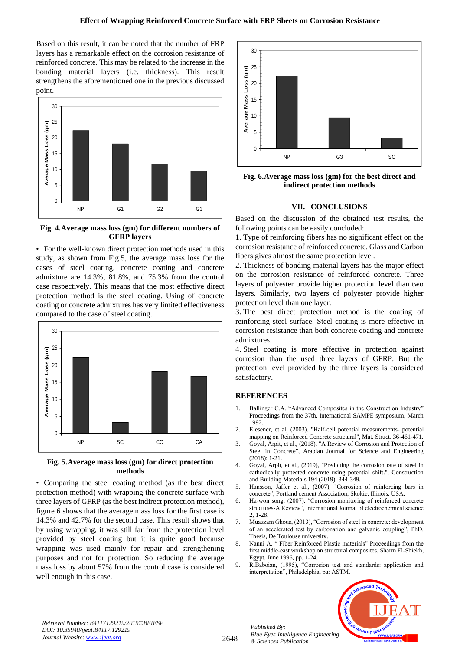Based on this result, it can be noted that the number of FRP layers has a remarkable effect on the corrosion resistance of reinforced concrete. This may be related to the increase in the bonding material layers (i.e. thickness). This result strengthens the aforementioned one in the previous discussed point.



**Fig. 4.Average mass loss (gm) for different numbers of GFRP layers** 

• For the well-known direct protection methods used in this study, as shown from Fig.5, the average mass loss for the cases of steel coating, concrete coating and concrete admixture are 14.3%, 81.8%, and 75.3% from the control case respectively. This means that the most effective direct protection method is the steel coating. Using of concrete coating or concrete admixtures has very limited effectiveness compared to the case of steel coating.



**Fig. 5.Average mass loss (gm) for direct protection methods**

• Comparing the steel coating method (as the best direct protection method) with wrapping the concrete surface with three layers of GFRP (as the best indirect protection method), figure 6 shows that the average mass loss for the first case is 14.3% and 42.7% for the second case. This result shows that by using wrapping, it was still far from the protection level provided by steel coating but it is quite good because wrapping was used mainly for repair and strengthening purposes and not for protection. So reducing the average mass loss by about 57% from the control case is considered well enough in this case.



**Fig. 6.Average mass loss (gm) for the best direct and indirect protection methods**

#### **VII. CONCLUSIONS**

Based on the discussion of the obtained test results, the following points can be easily concluded:

1. Type of reinforcing fibers has no significant effect on the corrosion resistance of reinforced concrete. Glass and Carbon fibers gives almost the same protection level.

2. Thickness of bonding material layers has the major effect on the corrosion resistance of reinforced concrete. Three layers of polyester provide higher protection level than two layers. Similarly, two layers of polyester provide higher protection level than one layer.

3. The best direct protection method is the coating of reinforcing steel surface. Steel coating is more effective in corrosion resistance than both concrete coating and concrete admixtures.

4. Steel coating is more effective in protection against corrosion than the used three layers of GFRP. But the protection level provided by the three layers is considered satisfactory.

#### **REFERENCES**

- 1. Ballinger C.A. "Advanced Composites in the Construction Industry" Proceedings from the 37th. International SAMPE symposium, March 1992.
- 2. Elesener, et al, (2003). "Half-cell potential measurements- potential mapping on Reinforced Concrete structural", Mat. Struct. 36-461-471.
- 3. Goyal, Arpit, et al., (2018), "A Review of Corrosion and Protection of Steel in Concrete", Arabian Journal for Science and Engineering (2018): 1-21.
- 4. Goyal, Arpit, et al., (2019), "Predicting the corrosion rate of steel in cathodically protected concrete using potential shift.", Construction and Building Materials 194 (2019): 344-349.
- 5. Hansson, Jaffer et al., (2007), "Corrosion of reinforcing bars in concrete", Portland cement Association, Skokie, Illinois, USA.
- 6. Ha-won song, (2007), "Corrosion monitoring of reinforced concrete structures-A Review", International Journal of electrochemical science 2, 1-28.
- 7. Muazzam Ghous, (2013), "Corrosion of steel in concrete: development of an accelerated test by carbonation and galvanic coupling", PhD. Thesis, De Toulouse university.
- 8. Nanni A. " Fiber Reinforced Plastic materials" Proceedings from the first middle-east workshop on structural composites, Sharm El-Shiekh, Egypt, June 1996, pp. 1-24.
- 9. R.Baboian, (1995), "Corrosion test and standards: application and interpretation", Philadelphia, pa: ASTM.



*Retrieval Number: B4117129219/2019©BEIESP DOI: 10.35940/ijeat.B4117.129219 Journal Website[: www.ijeat.org](http://www.ijeat.org/)*

2648

*Published By: Blue Eyes Intelligence Engineering & Sciences Publication*